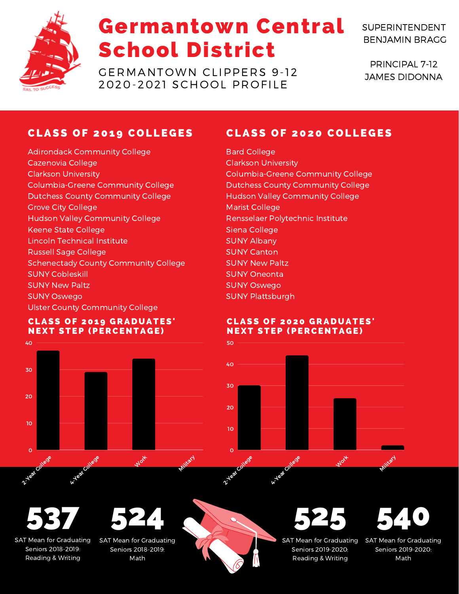

# Germantown Central School District

GERMANTOWN CLIPPERS 9-12 2020-2021 SCHOOL PROFILE

SUPERINTENDENT BENJAMIN BRAGG

PRINCIPAL 7-12 JAMES DIDONNA

## **CLASS OF 2019 COLLEGES**

Adirondack Community College Cazenovia College Clarkson University Columbia-Greene Community College Dutchess County Community College Grove City College Hudson Valley Community College Keene State College Lincoln Technical Institute Russell Sage College Schenectady County Community College SUNY Cobleskill SUNY New Paltz SUNY Oswego Ulster County Community College

#### **CLASS OF 2019 GRADUATES' NEXT STEP (PERCENTAGE)**



## **CLASS OF 2020 COLLEGES**

Bard College Clarkson University Columbia-Greene Community College Dutchess County Community College Hudson Valley Community College Marist College Rensselaer Polytechnic Institute Siena College SUNY Albany SUNY Canton SUNY New Paltz SUNY Oneonta SUNY Oswego SUNY Plattsburgh

#### **CLASS OF 2020 GRADUATES' NEXT STEP (PERCENTAGE)**



537

SAT Mean for Graduating Seniors 2018-2019: Reading & Writing



SAT Mean for Graduating Seniors 2018-2019: Math





Seniors 2019-2020: Reading & Writing 540

SAT Mean for Graduating Seniors 2019-2020: Math